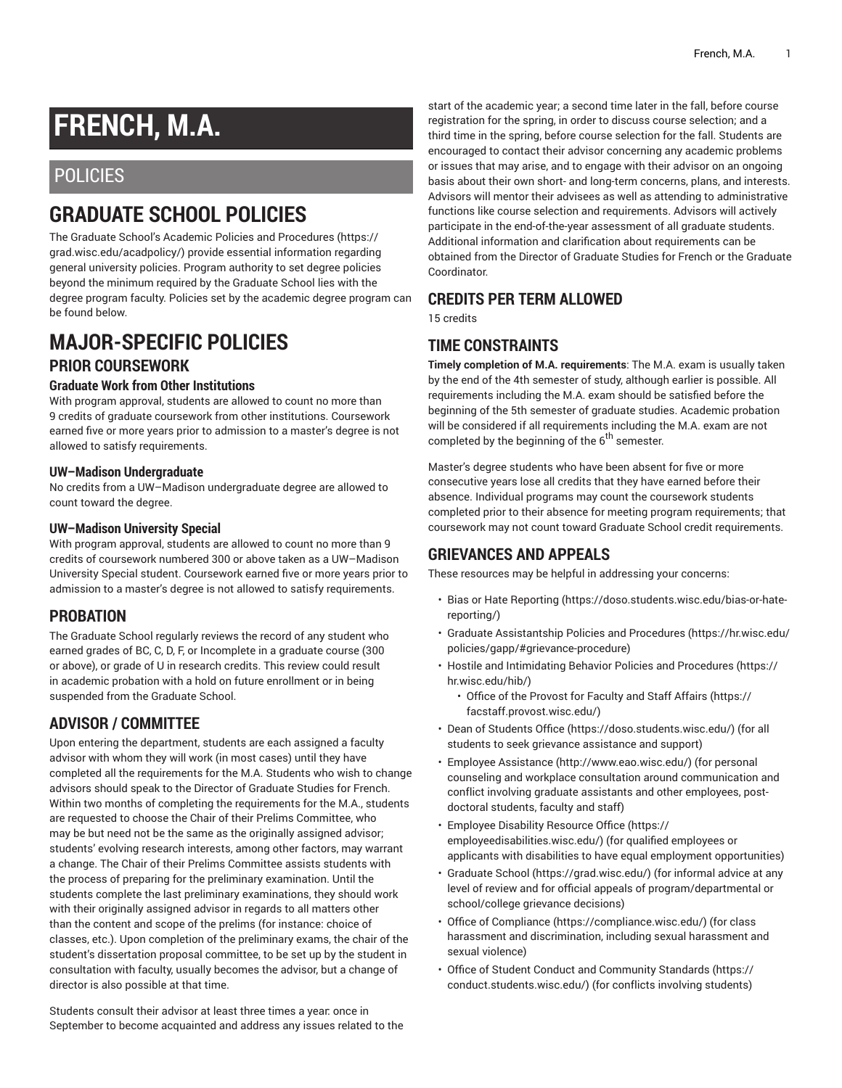# **FRENCH, M.A.**

# POLICIES

# **GRADUATE SCHOOL POLICIES**

The Graduate School's Academic Policies and [Procedures](https://grad.wisc.edu/acadpolicy/) ([https://](https://grad.wisc.edu/acadpolicy/) [grad.wisc.edu/acadpolicy/\)](https://grad.wisc.edu/acadpolicy/) provide essential information regarding general university policies. Program authority to set degree policies beyond the minimum required by the Graduate School lies with the degree program faculty. Policies set by the academic degree program can be found below.

# **MAJOR-SPECIFIC POLICIES PRIOR COURSEWORK**

#### **Graduate Work from Other Institutions**

With program approval, students are allowed to count no more than 9 credits of graduate coursework from other institutions. Coursework earned five or more years prior to admission to a master's degree is not allowed to satisfy requirements.

#### **UW–Madison Undergraduate**

No credits from a UW–Madison undergraduate degree are allowed to count toward the degree.

#### **UW–Madison University Special**

With program approval, students are allowed to count no more than 9 credits of coursework numbered 300 or above taken as a UW–Madison University Special student. Coursework earned five or more years prior to admission to a master's degree is not allowed to satisfy requirements.

## **PROBATION**

The Graduate School regularly reviews the record of any student who earned grades of BC, C, D, F, or Incomplete in a graduate course (300 or above), or grade of U in research credits. This review could result in academic probation with a hold on future enrollment or in being suspended from the Graduate School.

## **ADVISOR / COMMITTEE**

Upon entering the department, students are each assigned a faculty advisor with whom they will work (in most cases) until they have completed all the requirements for the M.A. Students who wish to change advisors should speak to the Director of Graduate Studies for French. Within two months of completing the requirements for the M.A., students are requested to choose the Chair of their Prelims Committee, who may be but need not be the same as the originally assigned advisor; students' evolving research interests, among other factors, may warrant a change. The Chair of their Prelims Committee assists students with the process of preparing for the preliminary examination. Until the students complete the last preliminary examinations, they should work with their originally assigned advisor in regards to all matters other than the content and scope of the prelims (for instance: choice of classes, etc.). Upon completion of the preliminary exams, the chair of the student's dissertation proposal committee, to be set up by the student in consultation with faculty, usually becomes the advisor, but a change of director is also possible at that time.

Students consult their advisor at least three times a year: once in September to become acquainted and address any issues related to the

start of the academic year; a second time later in the fall, before course registration for the spring, in order to discuss course selection; and a third time in the spring, before course selection for the fall. Students are encouraged to contact their advisor concerning any academic problems or issues that may arise, and to engage with their advisor on an ongoing basis about their own short- and long-term concerns, plans, and interests. Advisors will mentor their advisees as well as attending to administrative functions like course selection and requirements. Advisors will actively participate in the end-of-the-year assessment of all graduate students. Additional information and clarification about requirements can be obtained from the Director of Graduate Studies for French or the Graduate Coordinator.

#### **CREDITS PER TERM ALLOWED**

15 credits

## **TIME CONSTRAINTS**

**Timely completion of M.A. requirements**: The M.A. exam is usually taken by the end of the 4th semester of study, although earlier is possible. All requirements including the M.A. exam should be satisfied before the beginning of the 5th semester of graduate studies. Academic probation will be considered if all requirements including the M.A. exam are not completed by the beginning of the 6<sup>th</sup> semester.

Master's degree students who have been absent for five or more consecutive years lose all credits that they have earned before their absence. Individual programs may count the coursework students completed prior to their absence for meeting program requirements; that coursework may not count toward Graduate School credit requirements.

## **GRIEVANCES AND APPEALS**

These resources may be helpful in addressing your concerns:

- Bias or Hate [Reporting \(https://doso.students.wisc.edu/bias-or-hate](https://doso.students.wisc.edu/bias-or-hate-reporting/)[reporting/](https://doso.students.wisc.edu/bias-or-hate-reporting/))
- Graduate [Assistantship](https://hr.wisc.edu/policies/gapp/#grievance-procedure) Policies and Procedures [\(https://hr.wisc.edu/](https://hr.wisc.edu/policies/gapp/#grievance-procedure) [policies/gapp/#grievance-procedure](https://hr.wisc.edu/policies/gapp/#grievance-procedure))
- Hostile and [Intimidating](https://hr.wisc.edu/hib/) Behavior Policies and Procedures [\(https://](https://hr.wisc.edu/hib/) [hr.wisc.edu/hib/\)](https://hr.wisc.edu/hib/)
	- Office of the [Provost](https://facstaff.provost.wisc.edu/) for Faculty and Staff Affairs [\(https://](https://facstaff.provost.wisc.edu/) [facstaff.provost.wisc.edu/](https://facstaff.provost.wisc.edu/))
- [Dean of Students Office \(https://doso.students.wisc.edu/\)](https://doso.students.wisc.edu/) (for all students to seek grievance assistance and support)
- Employee [Assistance](http://www.eao.wisc.edu/) [\(http://www.eao.wisc.edu/\)](http://www.eao.wisc.edu/) (for personal counseling and workplace consultation around communication and conflict involving graduate assistants and other employees, postdoctoral students, faculty and staff)
- [Employee](https://employeedisabilities.wisc.edu/) Disability Resource Office [\(https://](https://employeedisabilities.wisc.edu/) [employeedisabilities.wisc.edu/](https://employeedisabilities.wisc.edu/)) (for qualified employees or applicants with disabilities to have equal employment opportunities)
- [Graduate School](https://grad.wisc.edu/) ([https://grad.wisc.edu/\)](https://grad.wisc.edu/) (for informal advice at any level of review and for official appeals of program/departmental or school/college grievance decisions)
- [Office of Compliance](https://compliance.wisc.edu/) ([https://compliance.wisc.edu/\)](https://compliance.wisc.edu/) (for class harassment and discrimination, including sexual harassment and sexual violence)
- Office of Student Conduct and [Community](https://conduct.students.wisc.edu/) Standards ([https://](https://conduct.students.wisc.edu/) [conduct.students.wisc.edu/](https://conduct.students.wisc.edu/)) (for conflicts involving students)